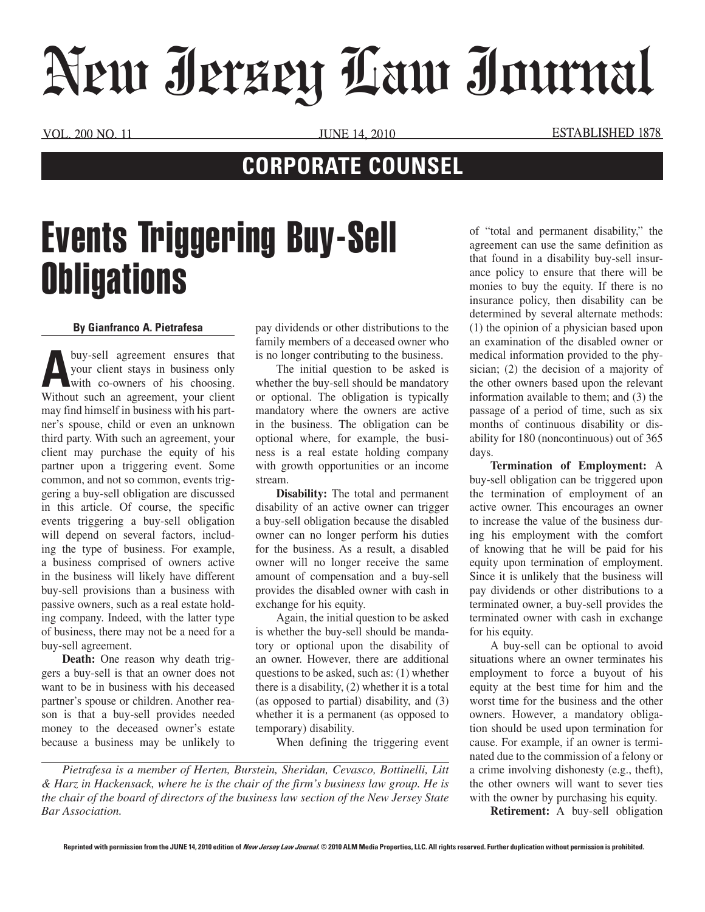## New Jersey Law Journal

VOL. 200 NO. 11 JUNE 14, 2010 ESTABLISHED 1878

## **CORPORATE COUNSEL**

## Events Triggering Buy-Sell **Obligations**

## **By Gianfranco A. Pietrafesa**

**A** buy-sell agreement ensures that your client stays in business only with co-owners of his choosing. Without such an agreement, your client may find himself in business with his partner's spouse, child or even an unknown third party. With such an agreement, your client may purchase the equity of his partner upon a triggering event. Some common, and not so common, events triggering a buy-sell obligation are discussed in this article. Of course, the specific events triggering a buy-sell obligation will depend on several factors, including the type of business. For example, a business comprised of owners active in the business will likely have different buy-sell provisions than a business with passive owners, such as a real estate holding company. Indeed, with the latter type of business, there may not be a need for a buy-sell agreement.

**Death:** One reason why death triggers a buy-sell is that an owner does not want to be in business with his deceased partner's spouse or children. Another reason is that a buy-sell provides needed money to the deceased owner's estate because a business may be unlikely to pay dividends or other distributions to the family members of a deceased owner who is no longer contributing to the business.

The initial question to be asked is whether the buy-sell should be mandatory or optional. The obligation is typically mandatory where the owners are active in the business. The obligation can be optional where, for example, the business is a real estate holding company with growth opportunities or an income stream.

**Disability:** The total and permanent disability of an active owner can trigger a buy-sell obligation because the disabled owner can no longer perform his duties for the business. As a result, a disabled owner will no longer receive the same amount of compensation and a buy-sell provides the disabled owner with cash in exchange for his equity.

Again, the initial question to be asked is whether the buy-sell should be mandatory or optional upon the disability of an owner. However, there are additional questions to be asked, such as: (1) whether there is a disability, (2) whether it is a total (as opposed to partial) disability, and (3) whether it is a permanent (as opposed to temporary) disability.

When defining the triggering event

*Pietrafesa is a member of Herten, Burstein, Sheridan, Cevasco, Bottinelli, Litt & Harz in Hackensack, where he is the chair of the firm's business law group. He is the chair of the board of directors of the business law section of the New Jersey State Bar Association.*

of "total and permanent disability," the agreement can use the same definition as that found in a disability buy-sell insurance policy to ensure that there will be monies to buy the equity. If there is no insurance policy, then disability can be determined by several alternate methods: (1) the opinion of a physician based upon an examination of the disabled owner or medical information provided to the physician; (2) the decision of a majority of the other owners based upon the relevant information available to them; and (3) the passage of a period of time, such as six months of continuous disability or disability for 180 (noncontinuous) out of 365 days.

**Termination of Employment:** A buy-sell obligation can be triggered upon the termination of employment of an active owner. This encourages an owner to increase the value of the business during his employment with the comfort of knowing that he will be paid for his equity upon termination of employment. Since it is unlikely that the business will pay dividends or other distributions to a terminated owner, a buy-sell provides the terminated owner with cash in exchange for his equity.

A buy-sell can be optional to avoid situations where an owner terminates his employment to force a buyout of his equity at the best time for him and the worst time for the business and the other owners. However, a mandatory obligation should be used upon termination for cause. For example, if an owner is terminated due to the commission of a felony or a crime involving dishonesty (e.g., theft), the other owners will want to sever ties with the owner by purchasing his equity.

**Retirement:** A buy-sell obligation